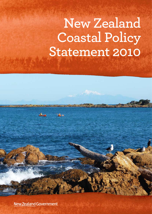# **New Zealand Coastal Policy Statement 2010**

**New Zealand Government**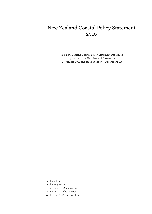### New Zealand Coastal Policy Statement 2010

This New Zealand Coastal Policy Statement was issued by notice in the New Zealand Gazette on 4 November 2010 and takes effect on 3 December 2010.

Published by Publishing Team Department of Conservation PO Box 10420, The Terrace Wellington 6143, New Zealand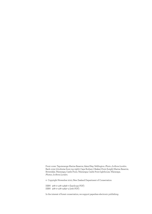Front cover: Taputeranga Marine Reserve, Island Bay, Wellington. *Photo: Jo-Anne Lundon*. Back cover (clockwise from top right): Cape Rodney–Okakari Point (Leigh) Marine Reserve; Riversdale, Wairarapa; Castle Point, Wairarapa; Castle Point lighthouse, Wairarapa. *Photos: Jo-Anne Lundon.*

© Copyright November 2010, New Zealand Department of Conservation

ISBN 978–0–478–14836–7 (hardcopy PDF) ISBN 978–0–478–14837–4 (web PDF)

In the interest of forest conservation, we support paperless electronic publishing.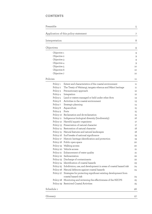### CONTENTS

| Preamble                     | Application of this policy statement                                                             |        |
|------------------------------|--------------------------------------------------------------------------------------------------|--------|
|                              |                                                                                                  |        |
| Interpretation<br>Objectives |                                                                                                  | 8<br>9 |
|                              |                                                                                                  |        |
| Objective 2                  |                                                                                                  | 9      |
| Objective 3                  |                                                                                                  | 9      |
| Objective 4                  |                                                                                                  | 9      |
| Objective 5                  |                                                                                                  | 10     |
| Objective 6                  |                                                                                                  | 10     |
| Objective 7                  |                                                                                                  | 10     |
| Policies                     |                                                                                                  | 11     |
| Policy 1                     | Extent and characteristics of the coastal environment                                            | 11     |
| Policy 2                     | The Treaty of Waitangi, tangata whenua and Māori heritage                                        | 11     |
| Policy 3                     | Precautionary approach                                                                           | 12     |
| Policy 4                     | Integration                                                                                      | 12     |
| Policy 5                     | Land or waters managed or held under other Acts                                                  | 13     |
| Policy 6                     | Activities in the coastal environment                                                            | 13     |
| Policy 7                     | Strategic planning                                                                               | 14     |
| Policy 8                     | Aquaculture                                                                                      | 15     |
| Policy 9                     | Ports                                                                                            | 15     |
|                              | Policy 10 Reclamation and de-reclamation                                                         | 15     |
|                              | Policy 11 Indigenous biological diversity (biodiversity)                                         | 16     |
|                              | Policy 12 Harmful aquatic organisms                                                              | 17     |
|                              | Policy 13 Preservation of natural character                                                      | 17     |
|                              | Policy 14 Restoration of natural character                                                       | 18     |
|                              | Policy 15 Natural features and natural landscapes                                                | 18     |
|                              | Policy 16 Surf breaks of national significance                                                   | 19     |
|                              | Policy 17 Historic heritage identification and protection                                        | 19     |
|                              | Policy 18 Public open space                                                                      | 20     |
|                              | Policy 19 Walking access                                                                         | 20     |
|                              | Policy 20 Vehicle access                                                                         | 21     |
|                              | Policy 21 Enhancement of water quality                                                           | 21     |
|                              | Policy 22 Sedimentation                                                                          | 22     |
|                              | Policy 23 Discharge of contaminants                                                              | 22     |
|                              | Policy 24 Identification of coastal hazards                                                      | 23     |
|                              | Policy 25 Subdivision, use, and development in areas of coastal hazard risk                      | 24     |
|                              | Policy 26 Natural defences against coastal hazards                                               | 24     |
|                              | Policy 27 Strategies for protecting significant existing development from<br>coastal hazard risk | 24     |
|                              | Policy 28 Monitoring and reviewing the effectiveness of the NZCPS                                | 25     |
|                              | Policy 29 Restricted Coastal Activities                                                          | 25     |
|                              |                                                                                                  |        |
| Schedule 1                   |                                                                                                  | 26     |
| Glossary                     |                                                                                                  | 27     |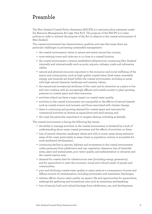# Preamble

The New Zealand Coastal Policy Statement (NZCPS) is a national policy statement under the Resource Management Act 1991 ('the Act'). The purpose of the NZCPS is to state policies in order to achieve the purpose of the Act in relation to the coastal environment of New Zealand.

The coastal environment has characteristics, qualities and uses that mean there are particular challenges in promoting sustainable management:

- the coastal environment varies in nature and extent around the country;
- most existing towns and cities are in or close to a coastal location;
- the coastal environment contains established infrastructure connecting New Zealand internally and internationally such as ports, airports, railways, roads and submarine cables;
- natural and physical resources important to the economic and social wellbeing of the nation and communities, such as high quality coastal water, fresh water, renewable energy, and minerals are found within the coastal environment, including in areas with high natural character, landscape and amenity values;
- the natural and recreational attributes of the coast and its attraction as a place to live and visit combine with an increasingly affluent and mobile society to place growing pressure on coastal space and other resources;
- activities inland can have a major impact on coastal water quality;
- activities in the coastal environment are susceptible to the effects of natural hazards such as coastal erosion and tsunami, and those associated with climate change;
- there is continuing and growing demand for coastal space and resources for commercial activities as diverse as aquaculture and sand mining; and
- the coast has particular importance to tangata whenua, including as kaitiaki.

The coastal environment is facing the following key issues:

- the ability to manage activities in the coastal environment is hindered by a lack of understanding about some coastal processes and the effects of activities on them;
- loss of natural character, landscape values and wild or scenic areas along extensive areas of the coast, particularly in areas closer to population centres or accessible for rural residential development;
- continuing decline in species, habitats and ecosystems in the coastal environment under pressures from subdivision and use, vegetation clearance, loss of intertidal areas, plant and animal pests, poor water quality, and sedimentation in estuaries and the coastal marine area;
- demand for coastal sites for infrastructure uses (including energy generation) and for aquaculture to meet the economic, social and cultural needs of people and communities;
- poor and declining coastal water quality in many areas as a consequence of point and diffuse sources of contamination, including stormwater and wastewater discharges;
- adverse effects of poor water quality on aquatic life and opportunities for aquaculture, mahinga kai gathering and recreational uses such as swimming and kayaking;
- loss of natural, built and cultural heritage from subdivision, use, and development;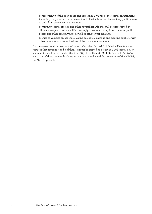- compromising of the open space and recreational values of the coastal environment, including the potential for permanent and physically accessible walking public access to and along the coastal marine area;
- continuing coastal erosion and other natural hazards that will be exacerbated by climate change and which will increasingly threaten existing infrastructure, public access and other coastal values as well as private property; and
- the use of vehicles on beaches causing ecological damage and creating conflicts with other recreational uses and values of the coastal environment.

For the coastal environment of the Hauraki Gulf, the Hauraki Gulf Marine Park Act 2000 requires that sections 7 and 8 of that Act must be treated as a New Zealand coastal policy statement issued under the Act. Section 10(2) of the Hauraki Gulf Marine Park Act 2000 states that if there is a conflict between sections 7 and 8 and the provisions of the NZCPS, the NZCPS prevails.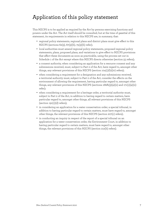# Application of this policy statement

This NZCPS is to be applied as required by the Act by persons exercising functions and powers under the Act. The Act itself should be consulted, but at the time of gazettal of this statement, its requirements in relation to this NZCPS are, in summary, that:

- regional policy statements, regional plans and district plans must give effect to this NZCPS (sections 62(3), 67(3)(b), 75(3)(b) refer);
- local authorities must amend regional policy statements, proposed regional policy statements, plans, proposed plans, and variations to give effect to NZCPS provisions that affect these documents as soon as practicable, using the process set out in Schedule 1 of the Act except where this NZCPS directs otherwise (section 55 refers);
- a consent authority, when considering an application for a resource consent and any submissions received, must, subject to Part 2 of the Act, have regard to, amongst other things, any relevant provisions of this NZCPS (section 104(1)(b)(iv) refers);
- when considering a requirement for a designation and any submissions received, a territorial authority must, subject to Part 2 of the Act, consider the effects on the environment of allowing the requirement, having particular regard to, amongst other things, any relevant provisions of this NZCPS (sections 168A(3)(a)(ii) and 171(1)(a)(ii) refer);
- when considering a requirement for a heritage order, a territorial authority must, subject to Part 2 of the Act, in addition to having regard to certain matters, have particular regard to, amongst other things, all relevant provisions of this NZCPS (section  $191(1)(d)$  refers);
- in considering an application for a water conservation order, a special tribunal, in addition to having particular regard to certain matters, must have regard to, amongst other things, the relevant provisions of this NZCPS (section 207(c) refers);
- in conducting an inquiry in respect of the report of a special tribunal on an application for a water conservation order, the Environment Court, in addition to having particular regard to certain matters, must have regard to, amongst other things, the relevant provisions of this NZCPS (section 212(b) refers).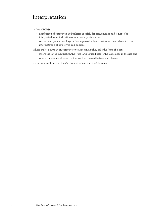# Interpretation

In this NZCPS:

- numbering of objectives and policies is solely for convenience and is not to be interpreted as an indication of relative importance; and
- section and policy headings indicate general subject matter and are relevant to the interpretation of objectives and policies.

Where bullet points in an objective or clauses in a policy take the form of a list:

- where the list is cumulative, the word 'and' is used before the last clause in the list; and
- where clauses are alternative, the word 'or' is used between all clauses.

Definitions contained in the Act are not repeated in the Glossary.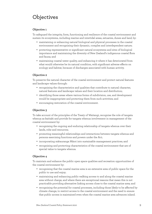# **Objectives**

### **Objective 1**

To safeguard the integrity, form, functioning and resilience of the coastal environment and sustain its ecosystems, including marine and intertidal areas, estuaries, dunes and land, by:

- maintaining or enhancing natural biological and physical processes in the coastal environment and recognising their dynamic, complex and interdependent nature;
- protecting representative or significant natural ecosystems and sites of biological importance and maintaining the diversity of New Zealand's indigenous coastal flora and fauna; and
- maintaining coastal water quality, and enhancing it where it has deteriorated from what would otherwise be its natural condition, with significant adverse effects on ecology and habitat, because of discharges associated with human activity.

### **Objective 2**

To preserve the natural character of the coastal environment and protect natural features and landscape values through:

- recognising the characteristics and qualities that contribute to natural character, natural features and landscape values and their location and distribution;
- identifying those areas where various forms of subdivision, use, and development would be inappropriate and protecting them from such activities; and
- encouraging restoration of the coastal environment.

### **Objective 3**

To take account of the principles of the Treaty of Waitangi, recognise the role of tangata whenua as kaitiaki and provide for tangata whenua involvement in management of the coastal environment by:

- recognising the ongoing and enduring relationship of tangata whenua over their lands, rohe and resources;
- promoting meaningful relationships and interactions between tangata whenua and persons exercising functions and powers under the Act;
- incorporating mātauranga Māori into sustainable management practices; and
- recognising and protecting characteristics of the coastal environment that are of special value to tangata whenua.

#### **Objective 4**

To maintain and enhance the public open space qualities and recreation opportunities of the coastal environment by:

- recognising that the coastal marine area is an extensive area of public space for the public to use and enjoy;
- maintaining and enhancing public walking access to and along the coastal marine area without charge, and where there are exceptional reasons that mean this is not practicable providing alternative linking access close to the coastal marine area; and
- recognising the potential for coastal processes, including those likely to be affected by climate change, to restrict access to the coastal environment and the need to ensure that public access is maintained even when the coastal marine area advances inland.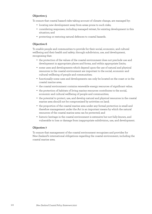#### **Objective 5**

To ensure that coastal hazard risks taking account of climate change, are managed by:

- locating new development away from areas prone to such risks;
- considering responses, including managed retreat, for existing development in this situation; and
- protecting or restoring natural defences to coastal hazards.

### **Objective 6**

To enable people and communities to provide for their social, economic, and cultural wellbeing and their health and safety, through subdivision, use, and development, recognising that:

- the protection of the values of the coastal environment does not preclude use and development in appropriate places and forms, and within appropriate limits;
- some uses and developments which depend upon the use of natural and physical resources in the coastal environment are important to the social, economic and cultural wellbeing of people and communities;
- functionally some uses and developments can only be located on the coast or in the coastal marine area;
- the coastal environment contains renewable energy resources of significant value;
- the protection of habitats of living marine resources contributes to the social, economic and cultural wellbeing of people and communities;
- the potential to protect, use, and develop natural and physical resources in the coastal marine area should not be compromised by activities on land;
- the proportion of the coastal marine area under any formal protection is small and therefore management under the Act is an important means by which the natural resources of the coastal marine area can be protected; and
- historic heritage in the coastal environment is extensive but not fully known, and vulnerable to loss or damage from inappropriate subdivision, use, and development.

### **Objective 7**

To ensure that management of the coastal environment recognises and provides for New Zealand's international obligations regarding the coastal environment, including the coastal marine area.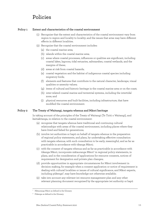# Policies

#### **Policy 1 Extent and characteristics of the coastal environment**

- (1) Recognise that the extent and characteristics of the coastal environment vary from region to region and locality to locality; and the issues that arise may have different effects in different localities.
- (2) Recognise that the coastal environment includes:
	- (a) the coastal marine area;
	- (b) islands within the coastal marine area;
	- (c) areas where coastal processes, influences or qualities are significant, including coastal lakes, lagoons, tidal estuaries, saltmarshes, coastal wetlands, and the margins of these;
	- (d) areas at risk from coastal hazards;
	- (e) coastal vegetation and the habitat of indigenous coastal species including migratory birds;
	- (f) elements and features that contribute to the natural character, landscape, visual qualities or amenity values;
	- (g) items of cultural and historic heritage in the coastal marine area or on the coast;
	- (h) inter-related coastal marine and terrestrial systems, including the intertidal zone; and
	- (i) physical resources and built facilities, including infrastructure, that have modified the coastal environment.

#### **Policy 2 The Treaty of Waitangi, tangata whenua and Māori heritage**

In taking account of the principles of the Treaty of Waitangi (Te Tiriti o Waitangi), and kaitiakitanga, in relation to the coastal environment:

- (a) recognise that tangata whenua have traditional and continuing cultural relationships with areas of the coastal environment, including places where they have lived and fished for generations;
- (b) involve iwi authorities or hapū on behalf of tangata whenua in the preparation of regional policy statements, and plans, by undertaking effective consultation with tangata whenua; with such consultation to be early, meaningful, and as far as practicable in accordance with tikanga Māori;
- (c) with the consent of tangata whenua and as far as practicable in accordance with tikanga Māori, incorporate mātauranga Māori<sup>1</sup> in regional policy statements, in plans, and in the consideration of applications for resource consents, notices of requirement for designation and private plan changes;
- (d) provide opportunities in appropriate circumstances for Māori involvement in decision making, for example when a consent application or notice of requirement is dealing with cultural localities or issues of cultural significance, and Māori experts, including pūkenga<sup>2</sup>, may have knowledge not otherwise available;
- (e) take into account any relevant iwi resource management plan and any other relevant planning document recognised by the appropriate iwi authority or hapū

<sup>1</sup> Mātauranga Māori: as defined in the Glossary.

<sup>2</sup> Pūkenga: as defined in the Glossary.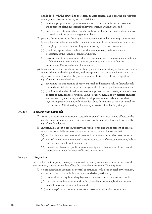and lodged with the council, to the extent that its content has a bearing on resource management issues in the region or district; and

- (i) where appropriate incorporate references to, or material from, iwi resource management plans in regional policy statements and in plans; and
- (ii) consider providing practical assistance to iwi or hapū who have indicated a wish to develop iwi resource management plans;
- (f) provide for opportunities for tangata whenua to exercise kaitiakitanga over waters, forests, lands, and fisheries in the coastal environment through such measures as:
	- (i) bringing cultural understanding to monitoring of natural resources;
	- (ii) providing appropriate methods for the management, maintenance and protection of the taonga of tangata whenua;
	- (iii) having regard to regulations, rules or bylaws relating to ensuring sustainability of fisheries resources such as taiāpure, mahinga mātaitai or other non commercial Māori customary fishing; and
- (g) in consultation and collaboration with tangata whenua, working as far as practicable in accordance with tikanga Māori, and recognising that tangata whenua have the right to choose not to identify places or values of historic, cultural or spiritual significance or special value:
	- (i) recognise the importance of Māori cultural and heritage values through such methods as historic heritage, landscape and cultural impact assessments; and
	- (ii) provide for the identification, assessment, protection and management of areas or sites of significance or special value to Māori, including by historic analysis and archaeological survey and the development of methods such as alert layers and predictive methodologies for identifying areas of high potential for undiscovered Māori heritage, for example coastal pā or fishing villages.

#### **Policy 3 Precautionary approach**

- (1) Adopt a precautionary approach towards proposed activities whose effects on the coastal environment are uncertain, unknown, or little understood, but potentially significantly adverse.
- (2) In particular, adopt a precautionary approach to use and management of coastal resources potentially vulnerable to effects from climate change, so that:
	- (a) avoidable social and economic loss and harm to communities does not occur;
	- (b) natural adjustments for coastal processes, natural defences, ecosystems, habitat and species are allowed to occur; and
	- (c) the natural character, public access, amenity and other values of the coastal environment meet the needs of future generations.

#### **Policy 4 Integration**

Provide for the integrated management of natural and physical resources in the coastal environment, and activities that affect the coastal environment. This requires:

- (a) co-ordinated management or control of activities within the coastal environment, and which could cross administrative boundaries, particularly:
	- (i) the local authority boundary between the coastal marine area and land;
	- (ii) local authority boundaries within the coastal environment, both within the coastal marine area and on land; and
	- (iii) where hapū or iwi boundaries or rohe cross local authority boundaries;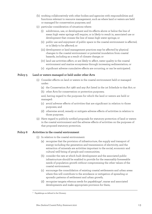- (b) working collaboratively with other bodies and agencies with responsibilities and functions relevant to resource management, such as where land or waters are held or managed for conservation purposes; and
- (c) particular consideration of situations where:
	- (i) subdivision, use, or development and its effects above or below the line of mean high water springs will require, or is likely to result in, associated use or development that crosses the line of mean high water springs; or
	- (ii) public use and enjoyment of public space in the coastal environment is affected, or is likely to be affected; or
	- (iii) development or land management practices may be affected by physical changes to the coastal environment or potential inundation from coastal hazards, including as a result of climate change; or
	- (iv) land use activities affect, or are likely to affect, water quality in the coastal environment and marine ecosystems through increasing sedimentation; or
	- (v) significant adverse cumulative effects are occurring, or can be anticipated.

#### **Policy 5 Land or waters managed or held under other Acts**

- (1) Consider effects on land or waters in the coastal environment held or managed under:
	- (a) the Conservation Act 1987 and any Act listed in the 1st Schedule to that Act; or
	- (b) other Acts for conservation or protection purposes;

and, having regard to the purposes for which the land or waters are held or managed:

- (c) avoid adverse effects of activities that are significant in relation to those purposes; and
- (d) otherwise avoid, remedy or mitigate adverse effects of activities in relation to those purposes.
- (2) Have regard to publicly notified proposals for statutory protection of land or waters in the coastal environment and the adverse effects of activities on the purposes of that proposed statutory protection.

#### **Policy 6 Activities in the coastal environment**

- (1) In relation to the coastal environment:
	- (a) recognise that the provision of infrastructure, the supply and transport of energy including the generation and transmission of electricity, and the extraction of minerals are activities important to the social, economic and cultural well-being of people and communities;
	- (b) consider the rate at which built development and the associated public infrastructure should be enabled to provide for the reasonably foreseeable needs of population growth without compromising the other values of the coastal environment;
	- (c) encourage the consolidation of existing coastal settlements and urban areas where this will contribute to the avoidance or mitigation of sprawling or sporadic patterns of settlement and urban growth;
	- (d) recognise tangata whenua needs for papakāinga<sup>3</sup>, marae and associated developments and make appropriate provision for them;

<sup>3</sup> Papakāinga: as defined in the Glossary.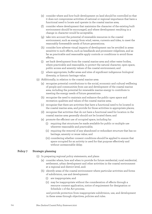- (e) consider where and how built development on land should be controlled so that it does not compromise activities of national or regional importance that have a functional need to locate and operate in the coastal marine area;
- (f) consider where development that maintains the character of the existing built environment should be encouraged, and where development resulting in a change in character would be acceptable;
- (g) take into account the potential of renewable resources in the coastal environment, such as energy from wind, waves, currents and tides, to meet the reasonably foreseeable needs of future generations;
- (h) consider how adverse visual impacts of development can be avoided in areas sensitive to such effects, such as headlands and prominent ridgelines, and as far as practicable and reasonable apply controls or conditions to avoid those effects;
- (i) set back development from the coastal marine area and other water bodies, where practicable and reasonable, to protect the natural character, open space, public access and amenity values of the coastal environment; and
- (j) where appropriate, buffer areas and sites of significant indigenous biological diversity, or historic heritage value.
- (2) Additionally, in relation to the coastal marine area:
	- (a) recognise potential contributions to the social, economic and cultural wellbeing of people and communities from use and development of the coastal marine area, including the potential for renewable marine energy to contribute to meeting the energy needs of future generations:
	- (b) recognise the need to maintain and enhance the public open space and recreation qualities and values of the coastal marine area;
	- (c) recognise that there are activities that have a functional need to be located in the coastal marine area, and provide for those activities in appropriate places;
	- (d) recognise that activities that do not have a functional need for location in the coastal marine area generally should not be located there; and
	- (e) promote the efficient use of occupied space, including by:
		- (i) requiring that structures be made available for public or multiple use wherever reasonable and practicable;
		- (ii) requiring the removal of any abandoned or redundant structure that has no heritage, amenity or reuse value; and
		- (iii) considering whether consent conditions should be applied to ensure that space occupied for an activity is used for that purpose effectively and without unreasonable delay.

#### **Policy 7 Strategic planning**

- (1) In preparing regional policy statements, and plans:
	- (a) consider where, how and when to provide for future residential, rural residential, settlement, urban development and other activities in the coastal environment at a regional and district level, and:
	- (b) identify areas of the coastal environment where particular activities and forms of subdivision, use and development:
		- (i) are inappropriate; and
		- (ii) may be inappropriate without the consideration of effects through a resource consent application, notice of requirement for designation or Schedule 1 of the Act process;

and provide protection from inappropriate subdivision, use, and development in these areas through objectives, policies and rules.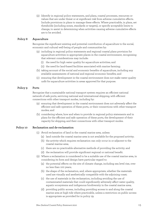(2) Identify in regional policy statements, and plans, coastal processes, resources or values that are under threat or at significant risk from adverse cumulative effects. Include provisions in plans to manage these effects. Where practicable, in plans, set thresholds (including zones, standards or targets), or specify acceptable limits to change, to assist in determining when activities causing adverse cumulative effects are to be avoided.

#### **Policy 8 Aquaculture**

Recognise the significant existing and potential contribution of aquaculture to the social, economic and cultural well-being of people and communities by:

- (a) including in regional policy statements and regional coastal plans provision for aquaculture activities in appropriate places in the coastal environment, recognising that relevant considerations may include:
	- (i) the need for high water quality for aquaculture activities; and
	- (ii) the need for land-based facilities associated with marine farming;
- (b) taking account of the social and economic benefits of aquaculture, including any available assessments of national and regional economic benefits; and
- (c) ensuring that development in the coastal environment does not make water quality unfit for aquaculture activities in areas approved for that purpose.

#### **Policy 9 Ports**

Recognise that a sustainable national transport system requires an efficient national network of safe ports, servicing national and international shipping, with efficient connections with other transport modes, including by:

- (a) ensuring that development in the coastal environment does not adversely affect the efficient and safe operation of these ports, or their connections with other transport modes; and
- (b) considering where, how and when to provide in regional policy statements and in plans for the efficient and safe operation of these ports, the development of their capacity for shipping, and their connections with other transport modes.

#### **Policy 10 Reclamation and de-reclamation**

- (1) Avoid reclamation of land in the coastal marine area, unless:
	- (a) land outside the coastal marine area is not available for the proposed activity;
	- (b) the activity which requires reclamation can only occur in or adjacent to the coastal marine area;
	- (c) there are no practicable alternative methods of providing the activity; and
	- (d) the reclamation will provide significant regional or national benefit.
- (2) Where a reclamation is considered to be a suitable use of the coastal marine area, in considering its form and design have particular regard to:
	- (a) the potential effects on the site of climate change, including sea level rise, over no less than 100 years;
	- (b) the shape of the reclamation, and, where appropriate, whether the materials used are visually and aesthetically compatible with the adjoining coast;
	- (c) the use of materials in the reclamation, including avoiding the use of contaminated materials that could significantly adversely affect water quality, aquatic ecosystems and indigenous biodiversity in the coastal marine area;
	- (d) providing public access, including providing access to and along the coastal marine area at high tide where practicable, unless a restriction on public access is appropriate as provided for in policy 19;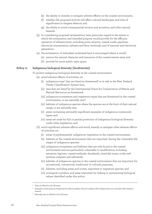- (e) the ability to remedy or mitigate adverse effects on the coastal environment;
- (f) whether the proposed activity will affect cultural landscapes and sites of significance to tangata whenua; and
- (g) the ability to avoid consequential erosion and accretion, and other natural hazards.
- (3) In considering proposed reclamations, have particular regard to the extent to which the reclamation and intended purpose would provide for the efficient operation of infrastructure, including ports, airports, coastal roads, pipelines, electricity transmission, railways and ferry terminals, and of marinas and electricity generation.
- (4) De-reclamation of redundant reclaimed land is encouraged where it would:
	- (a) restore the natural character and resources of the coastal marine area; and
	- (b) provide for more public open space.

#### **Policy 11 Indigenous biological diversity (biodiversity)**

To protect indigenous biological diversity in the coastal environment:

- (a) avoid adverse effects of activities on:
	- $(i)$  indigenous taxa<sup>4</sup> that are listed as threatened<sup>5</sup> or at risk in the New Zealand Threat Classification System lists;
	- (ii) taxa that are listed by the International Union for Conservation of Nature and Natural Resources as threatened;
	- (iii) indigenous ecosystems and vegetation types that are threatened in the coastal environment, or are naturally rare $6$ ;
	- (iv) habitats of indigenous species where the species are at the limit of their natural range, or are naturally rare;
	- (v) areas containing nationally significant examples of indigenous community types; and
	- (vi) areas set aside for full or partial protection of indigenous biological diversity under other legislation; and
- (b) avoid significant adverse effects and avoid, remedy or mitigate other adverse effects of activities on:
	- (i) areas of predominantly indigenous vegetation in the coastal environment;
	- (ii) habitats in the coastal environment that are important during the vulnerable life stages of indigenous species;
	- (iii) indigenous ecosystems and habitats that are only found in the coastal environment and are particularly vulnerable to modification, including estuaries, lagoons, coastal wetlands, dunelands, intertidal zones, rocky reef systems, eelgrass and saltmarsh;
	- (iv) habitats of indigenous species in the coastal environment that are important for recreational, commercial, traditional or cultural purposes;
	- (v) habitats, including areas and routes, important to migratory species; and
	- (vi) ecological corridors, and areas important for linking or maintaining biological values identified under this policy.

<sup>4</sup> Taxa: as defined in the Glossary.

<sup>5</sup> Examples of taxa listed as threatened are: Maui's dolphin, Hector's dolphin, New Zealand fairy tern, Southern New Zealand dotterel.

<sup>6</sup> Naturally rare: as defined in the Glossary.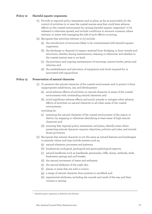#### **Policy 12 Harmful aquatic organisms**

- (1) Provide in regional policy statements and in plans, as far as practicable, for the control of activities in or near the coastal marine area that could have adverse effects on the coastal environment by causing harmful aquatic organisms<sup>7</sup> to be released or otherwise spread, and include conditions in resource consents, where relevant, to assist with managing the risk of such effects occurring.
- (2) Recognise that activities relevant to (1) include:
	- (a) the introduction of structures likely to be contaminated with harmful aquatic organisms;
	- (b) the discharge or disposal of organic material from dredging, or from vessels and structures, whether during maintenance, cleaning or otherwise; and whether in the coastal marine area or on land;
	- (c) the provision and ongoing maintenance of moorings, marina berths, jetties and wharves; and
	- (d) the establishment and relocation of equipment and stock required for or associated with aquaculture.

#### **Policy 13 Preservation of natural character**

- (1) To preserve the natural character of the coastal environment and to protect it from inappropriate subdivision, use, and development:
	- (a) avoid adverse effects of activities on natural character in areas of the coastal environment with outstanding natural character; and
	- (b) avoid significant adverse effects and avoid, remedy or mitigate other adverse effects of activities on natural character in all other areas of the coastal environment;

including by:

- (c) assessing the natural character of the coastal environment of the region or district, by mapping or otherwise identifying at least areas of high natural character; and
- (d) ensuring that regional policy statements, and plans, identify areas where preserving natural character requires objectives, policies and rules, and include those provisions.
- (2) Recognise that natural character is not the same as natural features and landscapes or amenity values and may include matters such as:
	- (a) natural elements, processes and patterns;
	- (b) biophysical, ecological, geological and geomorphological aspects;
	- (c) natural landforms such as headlands, peninsulas, cliffs, dunes, wetlands, reefs, freshwater springs and surf breaks;
	- (d) the natural movement of water and sediment;
	- (e) the natural darkness of the night sky;
	- (f) places or areas that are wild or scenic;
	- (g) a range of natural character from pristine to modified; and
	- (h) experiential attributes, including the sounds and smell of the sea; and their context or setting.

<sup>7</sup> Harmful aquatic organisms: as defined in the Glossary.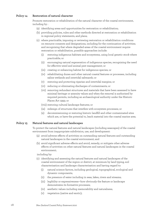#### **Policy 14 Restoration of natural character**

Promote restoration or rehabilitation of the natural character of the coastal environment, including by :

- (a) identifying areas and opportunities for restoration or rehabilitation;
- (b) providing policies, rules and other methods directed at restoration or rehabilitation in regional policy statements, and plans;
- (c) where practicable, imposing or reviewing restoration or rehabilitation conditions on resource consents and designations, including for the continuation of activities; and recognising that where degraded areas of the coastal environment require restoration or rehabilitation, possible approaches include:
	- restoring indigenous habitats and ecosystems, using local genetic stock where practicable; or
	- (ii) encouraging natural regeneration of indigenous species, recognising the need for effective weed and animal pest management; or
	- (iii) creating or enhancing habitat for indigenous species; or
	- (iv) rehabilitating dunes and other natural coastal features or processes, including saline wetlands and intertidal saltmarsh; or
	- (v) restoring and protecting riparian and intertidal margins; or
	- (vi) reducing or eliminating discharges of contaminants; or
	- (vii) removing redundant structures and materials that have been assessed to have minimal heritage or amenity values and when the removal is authorised by required permits, including an archaeological authority under the Historic Places Act 1993; or
	- (viii) restoring cultural landscape features; or
	- (ix) redesign of structures that interfere with ecosystem processes; or
	- (x) decommissioning or restoring historic landfill and other contaminated sites which are, or have the potential to, leach material into the coastal marine area.

#### **Policy 15 Natural features and natural landscapes**

To protect the natural features and natural landscapes (including seascapes) of the coastal environment from inappropriate subdivision, use, and development:

- (a) avoid adverse effects of activities on outstanding natural features and outstanding natural landscapes in the coastal environment; and
- (b) avoid significant adverse effects and avoid, remedy, or mitigate other adverse effects of activities on other natural features and natural landscapes in the coastal environment;

including by:

- (c) identifying and assessing the natural features and natural landscapes of the coastal environment of the region or district, at minimum by land typing, soil characterisation and landscape characterisation and having regard to:
	- (i) natural science factors, including geological, topographical, ecological and dynamic components;
	- (ii) the presence of water including in seas, lakes, rivers and streams;
	- (iii) legibility or expressiveness—how obviously the feature or landscape demonstrates its formative processes;
	- (iv) aesthetic values including memorability and naturalness;
	- (v) vegetation (native and exotic);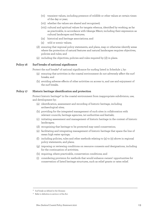- (vi) transient values, including presence of wildlife or other values at certain times of the day or year;
- (vii) whether the values are shared and recognised;
- (viii) cultural and spiritual values for tangata whenua, identified by working, as far as practicable, in accordance with tikanga Māori; including their expression as cultural landscapes and features;
- (ix) historical and heritage associations; and
- (x) wild or scenic values;
- (d) ensuring that regional policy statements, and plans, map or otherwise identify areas where the protection of natural features and natural landscapes requires objectives, policies and rules; and
- (e) including the objectives, policies and rules required by (d) in plans.

#### **Policy 16 Surf breaks of national significance**

Protect the surf breaks<sup>8</sup> of national significance for surfing listed in Schedule 1, by:

- (a) ensuring that activities in the coastal environment do not adversely affect the surf breaks; and
- (b) avoiding adverse effects of other activities on access to, and use and enjoyment of the surf breaks.

#### **Policy 17 Historic heritage identification and protection**

Protect historic heritage<sup>9</sup> in the coastal environment from inappropriate subdivision, use, and development by:

- (a) identification, assessment and recording of historic heritage, including archaeological sites;
- (b) providing for the integrated management of such sites in collaboration with relevant councils, heritage agencies, iwi authorities and kaitiaki;
- (c) initiating assessment and management of historic heritage in the context of historic landscapes;
- (d) recognising that heritage to be protected may need conservation;
- (e) facilitating and integrating management of historic heritage that spans the line of mean high water springs;
- (f) including policies, rules and other methods relating to (a) to (e) above in regional policy statements, and plans;
- (g) imposing or reviewing conditions on resource consents and designations, including for the continuation of activities;
- (h) requiring, where practicable, conservation conditions; and
- (i) considering provision for methods that would enhance owners' opportunities for conservation of listed heritage structures, such as relief grants or rates relief.

<sup>8</sup> Surf break: as defined in the Glossary.

<sup>&</sup>lt;sup>9</sup> Refer to definition in section 2 of the Act.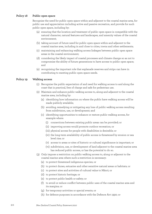#### **Policy 18 Public open space**

Recognise the need for public open space within and adjacent to the coastal marine area, for public use and appreciation including active and passive recreation, and provide for such public open space, including by:

- (a) ensuring that the location and treatment of public open space is compatible with the natural character, natural features and landscapes, and amenity values of the coastal environment;
- (b) taking account of future need for public open space within and adjacent to the coastal marine area, including in and close to cities, towns and other settlements;
- (c) maintaining and enhancing walking access linkages between public open space areas in the coastal environment;
- (d) considering the likely impact of coastal processes and climate change so as not to compromise the ability of future generations to have access to public open space; and
- (e) recognising the important role that esplanade reserves and strips can have in contributing to meeting public open space needs.

#### **Policy 19 Walking access**

- (1) Recognise the public expectation of and need for walking access to and along the coast that is practical, free of charge and safe for pedestrian use.
- (2) Maintain and enhance public walking access to, along and adjacent to the coastal marine area, including by:
	- (a) identifying how information on where the public have walking access will be made publicly available;
	- (b) avoiding, remedying or mitigating any loss of public walking access resulting from subdivision, use, or development; and
	- (c) identifying opportunities to enhance or restore public walking access, for example where:
		- (i) connections between existing public areas can be provided; or
		- (ii) improving access would promote outdoor recreation; or
		- (iii) physical access for people with disabilities is desirable; or
		- (iv) the long-term availability of public access is threatened by erosion or sea level rise; or
		- (v) access to areas or sites of historic or cultural significance is important; or
		- (vi) subdivision, use, or development of land adjacent to the coastal marine area has reduced public access, or has the potential to do so.
- (3) Only impose a restriction on public walking access to, along or adjacent to the coastal marine area where such a restriction is necessary:
	- (a) to protect threatened indigenous species; or
	- (b) to protect dunes, estuaries and other sensitive natural areas or habitats; or
	- (c) to protect sites and activities of cultural value to Māori; or
	- (d) to protect historic heritage; or
	- (e) to protect public health or safety; or
	- (f) to avoid or reduce conflict between public uses of the coastal marine area and its margins; or
	- (g) for temporary activities or special events; or
	- (h) for defence purposes in accordance with the Defence Act 1990; or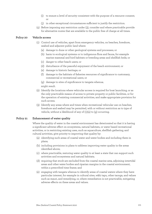- (i) to ensure a level of security consistent with the purpose of a resource consent; or
- (j) in other exceptional circumstances sufficient to justify the restriction.
- (4) Before imposing any restriction under (3), consider and where practicable provide for alternative routes that are available to the public free of charge at all times.

#### **Policy 20 Vehicle access**

- (1) Control use of vehicles, apart from emergency vehicles, on beaches, foreshore, seabed and adjacent public land where:
	- (a) damage to dune or other geological systems and processes; or
	- (b) harm to ecological systems or to indigenous flora and fauna, for example marine mammal and bird habitats or breeding areas and shellfish beds; or
	- (c) danger to other beach users; or
	- (d) disturbance of the peaceful enjoyment of the beach environment; or
	- (e) damage to historic heritage; or
	- (f) damage to the habitats of fisheries resources of significance to customary, commercial or recreational users; or
	- (g) damage to sites of significance to tangata whenua; might result.
- (2) Identify the locations where vehicular access is required for boat launching, or as the only practicable means of access to private property or public facilities, or for the operation of existing commercial activities, and make appropriate provision for such access.
- (3) Identify any areas where and times when recreational vehicular use on beaches, foreshore and seabed may be permitted, with or without restriction as to type of vehicle, without a likelihood of any of  $(1)(a)$  to  $(g)$  occurring.

#### **Policy 21 Enhancement of water quality**

Where the quality of water in the coastal environment has deteriorated so that it is having a significant adverse effect on ecosystems, natural habitats, or water based recreational activities, or is restricting existing uses, such as aquaculture, shellfish gathering, and cultural activities, give priority to improving that quality by:

- (a) identifying such areas of coastal water and water bodies and including them in plans;
- (b) including provisions in plans to address improving water quality in the areas identified above;
- (c) where practicable, restoring water quality to at least a state that can support such activities and ecosystems and natural habitats;
- (d) requiring that stock are excluded from the coastal marine area, adjoining intertidal areas and other water bodies and riparian margins in the coastal environment, within a prescribed time frame; and
- (e) engaging with tangata whenua to identify areas of coastal waters where they have particular interest, for example in cultural sites, wāhi tapu, other taonga, and values such as mauri, and remedying, or, where remediation is not practicable, mitigating adverse effects on these areas and values.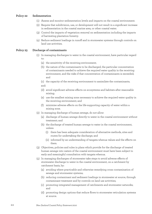#### **Policy 22 Sedimentation**

- (1) Assess and monitor sedimentation levels and impacts on the coastal environment.
- (2) Require that subdivision, use, or development will not result in a significant increase in sedimentation in the coastal marine area, or other coastal water.
- (3) Control the impacts of vegetation removal on sedimentation including the impacts of harvesting plantation forestry.
- (4) Reduce sediment loadings in runoff and in stormwater systems through controls on land use activities.

#### **Policy 23 Discharge of contaminants**

- (1) In managing discharges to water in the coastal environment, have particular regard to:
	- (a) the sensitivity of the receiving environment;
	- (b) the nature of the contaminants to be discharged, the particular concentration of contaminants needed to achieve the required water quality in the receiving environment, and the risks if that concentration of contaminants is exceeded; and

(c) the capacity of the receiving environment to assimilate the contaminants; and:

- (d) avoid significant adverse effects on ecosystems and habitats after reasonable mixing;
- (e) use the smallest mixing zone necessary to achieve the required water quality in the receiving environment; and
- (f) minimise adverse effects on the life-supporting capacity of water within a mixing zone.
- (2) In managing discharge of human sewage, do not allow:
	- (a) discharge of human sewage directly to water in the coastal environment without treatment; and
	- (b) the discharge of treated human sewage to water in the coastal environment, unless:
		- (i) there has been adequate consideration of alternative methods, sites and routes for undertaking the discharge; and
		- (ii) informed by an understanding of tangata whenua values and the effects on them.
- (3) Objectives, policies and rules in plans which provide for the discharge of treated human sewage into waters of the coastal environment must have been subject to early and meaningful consultation with tangata whenua.
- (4) In managing discharges of stormwater take steps to avoid adverse effects of stormwater discharge to water in the coastal environment, on a catchment by catchment basis, by:
	- (a) avoiding where practicable and otherwise remedying cross contamination of sewage and stormwater systems;
	- (b) reducing contaminant and sediment loadings in stormwater at source, through contaminant treatment and by controls on land use activities;
	- (c) promoting integrated management of catchments and stormwater networks; and
	- (d) promoting design options that reduce flows to stormwater reticulation systems at source.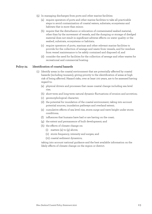- (5) In managing discharges from ports and other marine facilities:
	- (a) require operators of ports and other marine facilities to take all practicable steps to avoid contamination of coastal waters, substrate, ecosystems and habitats that is more than minor;
	- (b) require that the disturbance or relocation of contaminated seabed material, other than by the movement of vessels, and the dumping or storage of dredged material does not result in significant adverse effects on water quality or the seabed, substrate, ecosystems or habitats;
	- (c) require operators of ports, marinas and other relevant marine facilities to provide for the collection of sewage and waste from vessels, and for residues from vessel maintenance to be safely contained and disposed of; and
	- (d) consider the need for facilities for the collection of sewage and other wastes for recreational and commercial boating.

#### **Policy 24 Identification of coastal hazards**

- (1) Identify areas in the coastal environment that are potentially affected by coastal hazards (including tsunami), giving priority to the identification of areas at high risk of being affected. Hazard risks, over at least 100 years, are to be assessed having regard to:
	- (a) physical drivers and processes that cause coastal change including sea level rise;
	- (b) short-term and long-term natural dynamic fluctuations of erosion and accretion;
	- (c) geomorphological character;
	- (d) the potential for inundation of the coastal environment, taking into account potential sources, inundation pathways and overland extent;
	- (e) cumulative effects of sea level rise, storm surge and wave height under storm conditions;
	- (f) influences that humans have had or are having on the coast;
	- (g) the extent and permanence of built development; and
	- (h) the effects of climate change on:
		- (i) matters (a) to (g) above;
		- (ii) storm frequency, intensity and surges; and
		- (iii) coastal sediment dynamics;

taking into account national guidance and the best available information on the likely effects of climate change on the region or district.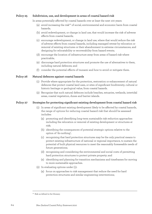#### **Policy 25 Subdivision, use, and development in areas of coastal hazard risk**

In areas potentially affected by coastal hazards over at least the next 100 years:

- (a) avoid increasing the risk<sup>10</sup> of social, environmental and economic harm from coastal hazards;
- (b) avoid redevelopment, or change in land use, that would increase the risk of adverse effects from coastal hazards;
- (c) encourage redevelopment, or change in land use, where that would reduce the risk of adverse effects from coastal hazards, including managed retreat by relocation or removal of existing structures or their abandonment in extreme circumstances, and designing for relocatability or recoverability from hazard events;
- (d) encourage the location of infrastructure away from areas of hazard risk where practicable;
- (e) discourage hard protection structures and promote the use of alternatives to them, including natural defences; and
- (f) consider the potential effects of tsunami and how to avoid or mitigate them.

#### **Policy 26 Natural defences against coastal hazards**

- (1) Provide where appropriate for the protection, restoration or enhancement of natural defences that protect coastal land uses, or sites of significant biodiversity, cultural or historic heritage or geological value, from coastal hazards.
- (2) Recognise that such natural defences include beaches, estuaries, wetlands, intertidal areas, coastal vegetation, dunes and barrier islands.

#### **Policy 27 Strategies for protecting significant existing development from coastal hazard risk**

- (1) In areas of significant existing development likely to be affected by coastal hazards, the range of options for reducing coastal hazard risk that should be assessed includes:
	- (a) promoting and identifying long-term sustainable risk reduction approaches including the relocation or removal of existing development or structures at risk;
	- (b) identifying the consequences of potential strategic options relative to the option of 'do-nothing';
	- (c) recognising that hard protection structures may be the only practical means to protect existing infrastructure of national or regional importance, to sustain the potential of built physical resources to meet the reasonably foreseeable needs of future generations;
	- (d) recognising and considering the environmental and social costs of permitting hard protection structures to protect private property; and
	- (e) identifying and planning for transition mechanisms and timeframes for moving to more sustainable approaches.
- (2) In evaluating options under (1):
	- (a) focus on approaches to risk management that reduce the need for hard protection structures and similar engineering interventions;

<sup>10</sup> Risk: as defined in the Glossary.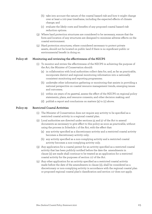- (b) take into account the nature of the coastal hazard risk and how it might change over at least a 100-year timeframe, including the expected effects of climate change; and
- (c) evaluate the likely costs and benefits of any proposed coastal hazard risk reduction options.
- (3) Where hard protection structures are considered to be necessary, ensure that the form and location of any structures are designed to minimise adverse effects on the coastal environment.
- (4) Hard protection structures, where considered necessary to protect private assets, should not be located on public land if there is no significant public or environmental benefit in doing so.

#### **Policy 28 Monitoring and reviewing the effectiveness of the NZCPS**

- (1) To monitor and review the effectiveness of the NZCPS in achieving the purpose of the Act, the Minister of Conservation should:
	- (a) in collaboration with local authorities collect data for, and, as far as practicable, incorporate district and regional monitoring information into a nationally consistent monitoring and reporting programme;
	- (b) undertake other information gathering or monitoring that assists in providing a national perspective on coastal resource management trends, emerging issues and outcomes;
	- (c) within six years of its gazettal, assess the effect of the NZCPS on regional policy statements, plans, and resource consents, and other decision making; and
	- (d) publish a report and conclusions on matters (a) to (c) above.

#### **Policy 29 Restricted Coastal Activities**

- (1) The Minister of Conservation does not require any activity to be specified as a restricted coastal activity in a regional coastal plan.
- (2) Local authorities are directed under sections 55 and 57 of the Act to amend documents as necessary to give effect to this policy as soon as practicable, without using the process in Schedule 1 of the Act, with the effect that:
	- (a) any activity specified as a discretionary activity and a restricted coastal activity becomes a discretionary activity only;
	- (b) any activity specified as a non-complying activity and a restricted coastal activity becomes a non-complying activity only.
- (3) Any application for a coastal permit for an activity specified as a restricted coastal activity that has been publicly notified before the date the amendments in clause (2) are made shall continue to be treated as an application for a restricted coastal activity for the purposes of section 117 of the Act.
- (4) Any other application for an activity specified as a restricted coastal activity made before the date of the amendments in clause (2), shall be considered as a discretionary or non-complying activity in accordance with the regional coastal plan or proposed regional coastal plan's classification and section 117 does not apply.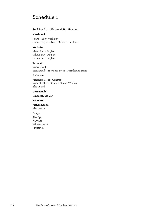# Schedule 1

#### **Surf Breaks of National Significance**

#### **Northland**

Peaks – Shipwreck Bay Peaks – Super tubes – Mukie 2 – Mukie 1

#### **Waikato**

Manu Bay – Raglan Whale Bay – Raglan Indicators – Raglan

#### **Taranaki**

Waiwhakaiho Stent Road – Backdoor Stent – Farmhouse Stent

#### **Gisborne**

Makorori Point – Centres Wainui – Stock Route – Pines – Whales The Island

### **Coromandel**

Whangamata Bar

#### **Kaikoura**

Mangamaunu Meatworks

#### **Otago**

The Spit Karitane Whareakeake Papatowai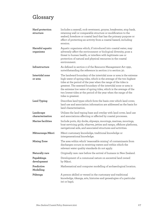# Glossary

| Hard protection<br>structure  | Includes a seawall, rock revetment, groyne, breakwater, stop bank,<br>retaining wall or comparable structure or modification to the<br>seabed, foreshore or coastal land that has the primary purpose or<br>effect of protecting an activity from a coastal hazard, including<br>erosion.                                                                                                                                                        |
|-------------------------------|--------------------------------------------------------------------------------------------------------------------------------------------------------------------------------------------------------------------------------------------------------------------------------------------------------------------------------------------------------------------------------------------------------------------------------------------------|
| Harmful aquatic<br>organisms  | Aquatic organisms which, if introduced into coastal water, may<br>adversely affect the environment or biological diversity, pose a<br>threat to human health, or interfere with legitimate use or<br>protection of natural and physical resources in the coastal<br>environment.                                                                                                                                                                 |
| Infrastructure                | As defined in section 2 of the Resource Management Act 1991,<br>notwithstanding the reference in section 2 to section 30.                                                                                                                                                                                                                                                                                                                        |
| Intertidal zone<br>or area    | The landward boundary of the intertidal zone or area is the extreme<br>high water of spring tides, which is the average of the two highest<br>tides at the period of the year when the range of the tides is<br>greatest. The seaward boundary of the intertidal zone or area is<br>the extreme low water of spring tides, which is the average of the<br>two lowest tides at the period of the year when the range of the<br>tides is greatest. |
| Land Typing                   | Describes land types which form the basis over which land cover,<br>land use and association information are addressed as the basis for<br>land characterisation.                                                                                                                                                                                                                                                                                |
| Landscape<br>characterisation | Utilises the land typing base and overlay with land cover, land use<br>and associations affecting or affected by coastal processes.                                                                                                                                                                                                                                                                                                              |
| Marine facilities             | Include ports, dry docks, slipways, moorings, marinas, moorings,<br>boat servicing grids, wharves, jetties and ramps, offshore platforms,<br>navigational aids, and associated structures and activities.                                                                                                                                                                                                                                        |
| Mātauranga Māori              | Māori customary knowledge, traditional knowledge or<br>intergenerational knowledge.                                                                                                                                                                                                                                                                                                                                                              |
| <b>Mixing Zone</b>            | The area within which 'reasonable mixing' of contaminants from<br>discharges occurs in receiving waters and within which the<br>relevant water quality standards do not apply.                                                                                                                                                                                                                                                                   |
| Naturally rare                | Originally rare: rare before the arrival of humans in New Zealand.                                                                                                                                                                                                                                                                                                                                                                               |
| Papakāinga<br>development     | Development of a communal nature on ancestral land owned<br>by Māori.                                                                                                                                                                                                                                                                                                                                                                            |
| Predictive<br>Modelling       | Mathematical and computer modelling of archaeological location.                                                                                                                                                                                                                                                                                                                                                                                  |
| Pūkenga                       | A person skilled or versed in the customary and traditional<br>knowledge, tikanga, arts, histories and genealogies of a particular<br>iwi or hapū.                                                                                                                                                                                                                                                                                               |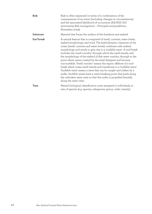| Risk       | Risk is often expressed in terms of a combination of the<br>consequences of an event (including changes in circumstances)<br>and the associated likelihood of occurrence (AS/NZS ISO<br>31000:2009 Risk management - Principles and guidelines,<br>November 2009).                                                                                                                                                                                                                                                                                                                                                                                                                                                                                                                                                                                                               |
|------------|----------------------------------------------------------------------------------------------------------------------------------------------------------------------------------------------------------------------------------------------------------------------------------------------------------------------------------------------------------------------------------------------------------------------------------------------------------------------------------------------------------------------------------------------------------------------------------------------------------------------------------------------------------------------------------------------------------------------------------------------------------------------------------------------------------------------------------------------------------------------------------|
| Substrate  | Material that forms the surface of the foreshore and seabed.                                                                                                                                                                                                                                                                                                                                                                                                                                                                                                                                                                                                                                                                                                                                                                                                                     |
| Surf break | A natural feature that is comprised of swell, currents, water levels,<br>seabed morphology, and wind. The hydrodynamic character of the<br>ocean (swell, currents and water levels) combines with seabed<br>morphology and winds to give rise to a 'surfable wave'. A surf break<br>includes the 'swell corridor' through which the swell travels, and<br>the morphology of the seabed of that wave corridor, through to the<br>point where waves created by the swell dissipate and become<br>non-surfable. 'Swell corridor' means the region offshore of a surf<br>break where ocean swell travels and transforms to a 'surfable wave'.<br>'Surfable wave' means a wave that can be caught and ridden by a<br>surfer. Surfable waves have a wave breaking point that peels along<br>the unbroken wave crest so that the surfer is propelled laterally<br>along the wave crest. |
| Taxa       | Named biological classification units assigned to individuals or<br>sets of species (e.g. species, subspecies, genus, order, variety).                                                                                                                                                                                                                                                                                                                                                                                                                                                                                                                                                                                                                                                                                                                                           |